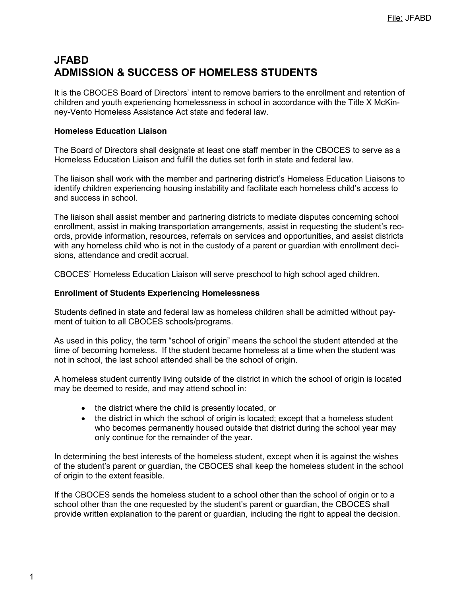# **JFABD ADMISSION & SUCCESS OF HOMELESS STUDENTS**

It is the CBOCES Board of Directors' intent to remove barriers to the enrollment and retention of children and youth experiencing homelessness in school in accordance with the Title X McKinney-Vento Homeless Assistance Act state and federal law.

## **Homeless Education Liaison**

The Board of Directors shall designate at least one staff member in the CBOCES to serve as a Homeless Education Liaison and fulfill the duties set forth in state and federal law.

The liaison shall work with the member and partnering district's Homeless Education Liaisons to identify children experiencing housing instability and facilitate each homeless child's access to and success in school.

The liaison shall assist member and partnering districts to mediate disputes concerning school enrollment, assist in making transportation arrangements, assist in requesting the student's records, provide information, resources, referrals on services and opportunities, and assist districts with any homeless child who is not in the custody of a parent or guardian with enrollment decisions, attendance and credit accrual.

CBOCES' Homeless Education Liaison will serve preschool to high school aged children.

## **Enrollment of Students Experiencing Homelessness**

Students defined in state and federal law as homeless children shall be admitted without payment of tuition to all CBOCES schools/programs.

As used in this policy, the term "school of origin" means the school the student attended at the time of becoming homeless. If the student became homeless at a time when the student was not in school, the last school attended shall be the school of origin.

A homeless student currently living outside of the district in which the school of origin is located may be deemed to reside, and may attend school in:

- the district where the child is presently located, or
- the district in which the school of origin is located; except that a homeless student who becomes permanently housed outside that district during the school year may only continue for the remainder of the year.

In determining the best interests of the homeless student, except when it is against the wishes of the student's parent or guardian, the CBOCES shall keep the homeless student in the school of origin to the extent feasible.

If the CBOCES sends the homeless student to a school other than the school of origin or to a school other than the one requested by the student's parent or guardian, the CBOCES shall provide written explanation to the parent or guardian, including the right to appeal the decision.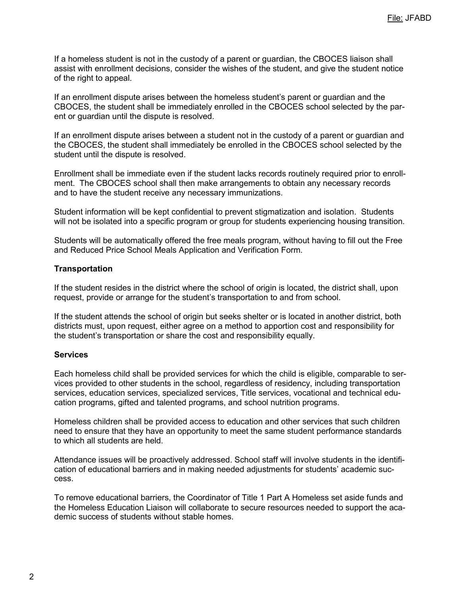If a homeless student is not in the custody of a parent or guardian, the CBOCES liaison shall assist with enrollment decisions, consider the wishes of the student, and give the student notice of the right to appeal.

If an enrollment dispute arises between the homeless student's parent or guardian and the CBOCES, the student shall be immediately enrolled in the CBOCES school selected by the parent or guardian until the dispute is resolved.

If an enrollment dispute arises between a student not in the custody of a parent or guardian and the CBOCES, the student shall immediately be enrolled in the CBOCES school selected by the student until the dispute is resolved.

Enrollment shall be immediate even if the student lacks records routinely required prior to enrollment. The CBOCES school shall then make arrangements to obtain any necessary records and to have the student receive any necessary immunizations.

Student information will be kept confidential to prevent stigmatization and isolation. Students will not be isolated into a specific program or group for students experiencing housing transition.

Students will be automatically offered the free meals program, without having to fill out the Free and Reduced Price School Meals Application and Verification Form.

#### **Transportation**

If the student resides in the district where the school of origin is located, the district shall, upon request, provide or arrange for the student's transportation to and from school.

If the student attends the school of origin but seeks shelter or is located in another district, both districts must, upon request, either agree on a method to apportion cost and responsibility for the student's transportation or share the cost and responsibility equally.

#### **Services**

Each homeless child shall be provided services for which the child is eligible, comparable to services provided to other students in the school, regardless of residency, including transportation services, education services, specialized services, Title services, vocational and technical education programs, gifted and talented programs, and school nutrition programs.

Homeless children shall be provided access to education and other services that such children need to ensure that they have an opportunity to meet the same student performance standards to which all students are held.

Attendance issues will be proactively addressed. School staff will involve students in the identification of educational barriers and in making needed adjustments for students' academic success.

To remove educational barriers, the Coordinator of Title 1 Part A Homeless set aside funds and the Homeless Education Liaison will collaborate to secure resources needed to support the academic success of students without stable homes.